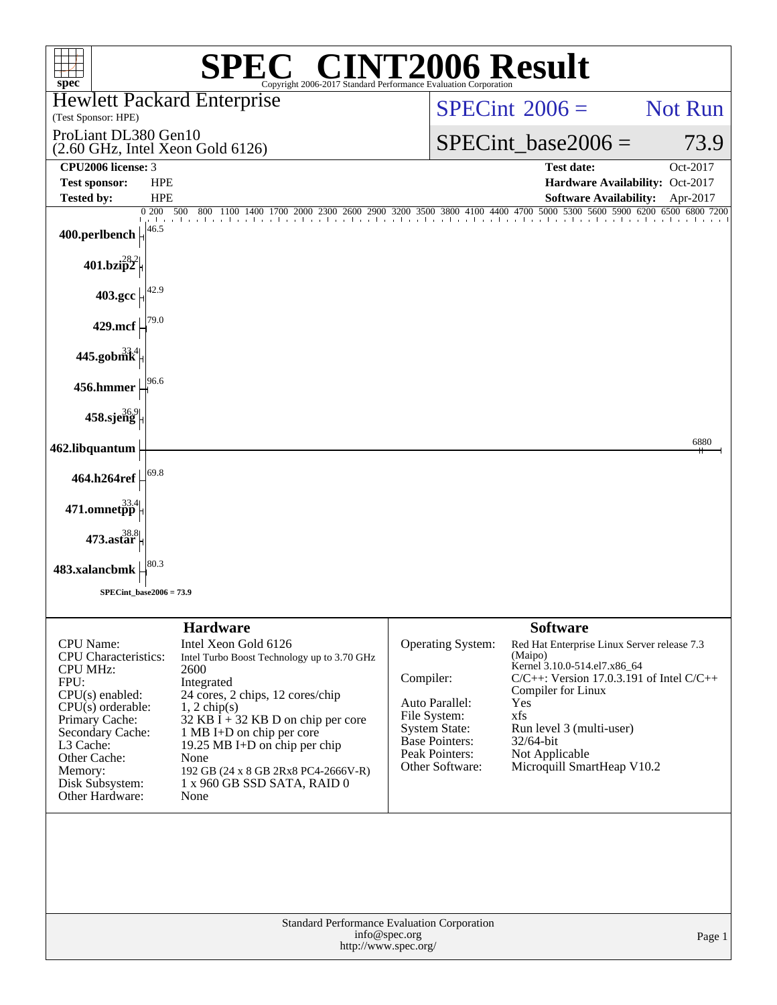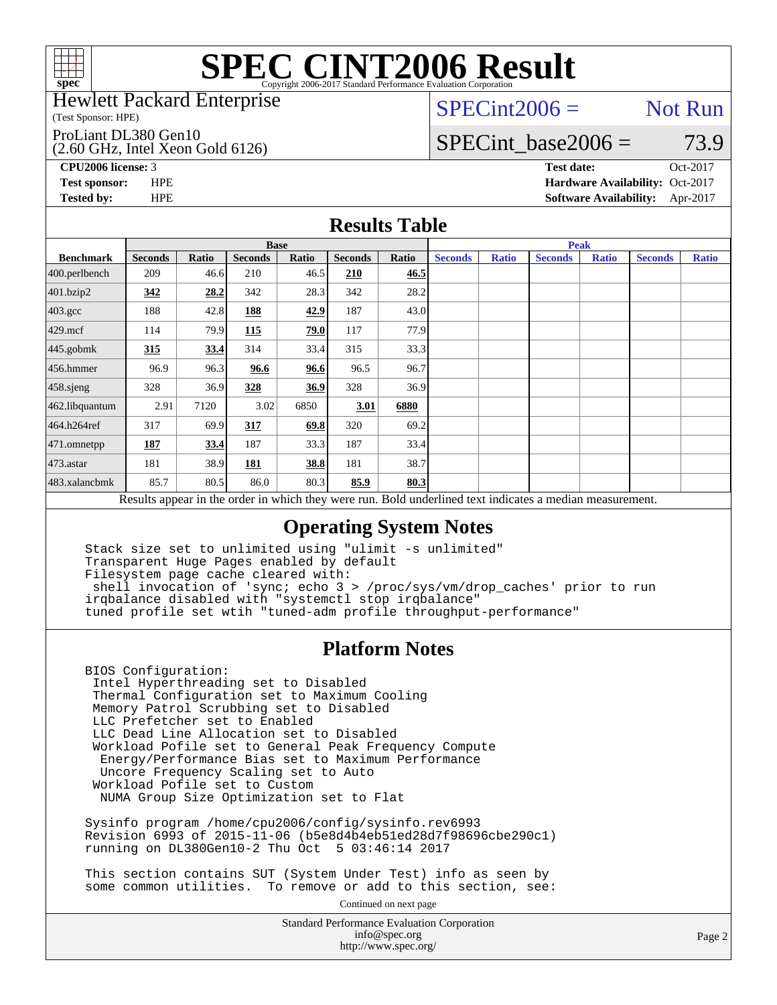

#### Hewlett Packard Enterprise

(Test Sponsor: HPE)

#### ProLiant DL380 Gen10

(2.60 GHz, Intel Xeon Gold 6126)

 $SPECint2006 =$  Not Run

### SPECint base2006 =  $73.9$

**[CPU2006 license:](http://www.spec.org/auto/cpu2006/Docs/result-fields.html#CPU2006license)** 3 **[Test date:](http://www.spec.org/auto/cpu2006/Docs/result-fields.html#Testdate)** Oct-2017 **[Test sponsor:](http://www.spec.org/auto/cpu2006/Docs/result-fields.html#Testsponsor)** HPE **[Hardware Availability:](http://www.spec.org/auto/cpu2006/Docs/result-fields.html#HardwareAvailability)** Oct-2017 **[Tested by:](http://www.spec.org/auto/cpu2006/Docs/result-fields.html#Testedby)** HPE **[Software Availability:](http://www.spec.org/auto/cpu2006/Docs/result-fields.html#SoftwareAvailability)** Apr-2017

### **[Results Table](http://www.spec.org/auto/cpu2006/Docs/result-fields.html#ResultsTable)**

|                                                                                                          | <b>Base</b>    |       |                |       |                |       | <b>Peak</b>    |              |                |              |                |              |
|----------------------------------------------------------------------------------------------------------|----------------|-------|----------------|-------|----------------|-------|----------------|--------------|----------------|--------------|----------------|--------------|
| <b>Benchmark</b>                                                                                         | <b>Seconds</b> | Ratio | <b>Seconds</b> | Ratio | <b>Seconds</b> | Ratio | <b>Seconds</b> | <b>Ratio</b> | <b>Seconds</b> | <b>Ratio</b> | <b>Seconds</b> | <b>Ratio</b> |
| 400.perlbench                                                                                            | 209            | 46.6  | 210            | 46.5  | 210            | 46.5  |                |              |                |              |                |              |
| 401.bzip2                                                                                                | 342            | 28.2  | 342            | 28.3  | 342            | 28.2  |                |              |                |              |                |              |
| $403.\mathrm{gcc}$                                                                                       | 188            | 42.8  | 188            | 42.9  | 187            | 43.0  |                |              |                |              |                |              |
| $429$ .mcf                                                                                               | 114            | 79.9  | 115            | 79.0  | 117            | 77.9  |                |              |                |              |                |              |
| $445$ .gobmk                                                                                             | 315            | 33.4  | 314            | 33.4  | 315            | 33.3  |                |              |                |              |                |              |
| $456.$ hmmer                                                                                             | 96.9           | 96.3  | 96.6           | 96.6  | 96.5           | 96.7  |                |              |                |              |                |              |
| 458.sjeng                                                                                                | 328            | 36.9  | 328            | 36.9  | 328            | 36.9  |                |              |                |              |                |              |
| 462.libquantum                                                                                           | 2.91           | 7120  | 3.02           | 6850  | 3.01           | 6880  |                |              |                |              |                |              |
| 464.h264ref                                                                                              | 317            | 69.9  | 317            | 69.8  | 320            | 69.2  |                |              |                |              |                |              |
| $471$ .omnetpp                                                                                           | 187            | 33.4  | 187            | 33.3  | 187            | 33.4  |                |              |                |              |                |              |
| $473$ . astar                                                                                            | 181            | 38.9  | 181            | 38.8  | 181            | 38.7  |                |              |                |              |                |              |
| 483.xalancbmk                                                                                            | 85.7           | 80.5  | 86.0           | 80.3  | 85.9           | 80.3  |                |              |                |              |                |              |
| Results appear in the order in which they were run. Bold underlined text indicates a median measurement. |                |       |                |       |                |       |                |              |                |              |                |              |

### **[Operating System Notes](http://www.spec.org/auto/cpu2006/Docs/result-fields.html#OperatingSystemNotes)**

 Stack size set to unlimited using "ulimit -s unlimited" Transparent Huge Pages enabled by default Filesystem page cache cleared with: shell invocation of 'sync; echo 3 > /proc/sys/vm/drop\_caches' prior to run irqbalance disabled with "systemctl stop irqbalance" tuned profile set wtih "tuned-adm profile throughput-performance"

### **[Platform Notes](http://www.spec.org/auto/cpu2006/Docs/result-fields.html#PlatformNotes)**

 BIOS Configuration: Intel Hyperthreading set to Disabled Thermal Configuration set to Maximum Cooling Memory Patrol Scrubbing set to Disabled LLC Prefetcher set to Enabled LLC Dead Line Allocation set to Disabled Workload Pofile set to General Peak Frequency Compute Energy/Performance Bias set to Maximum Performance Uncore Frequency Scaling set to Auto Workload Pofile set to Custom NUMA Group Size Optimization set to Flat

 Sysinfo program /home/cpu2006/config/sysinfo.rev6993 Revision 6993 of 2015-11-06 (b5e8d4b4eb51ed28d7f98696cbe290c1) running on DL380Gen10-2 Thu Oct 5 03:46:14 2017

 This section contains SUT (System Under Test) info as seen by some common utilities. To remove or add to this section, see:

Continued on next page

Standard Performance Evaluation Corporation [info@spec.org](mailto:info@spec.org) <http://www.spec.org/>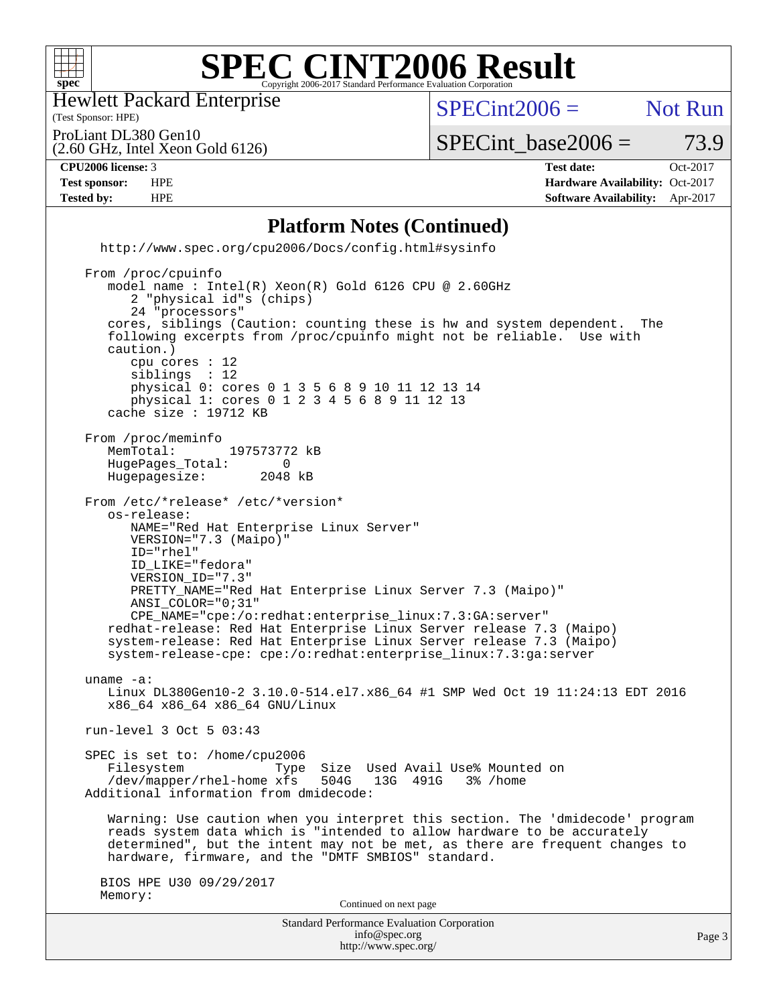

Hewlett Packard Enterprise

(2.60 GHz, Intel Xeon Gold 6126)

(Test Sponsor: HPE)

 $SPECint2006 =$  Not Run

ProLiant DL380 Gen10

 $SPECTnt\_base2006 = 73.9$ 

**[CPU2006 license:](http://www.spec.org/auto/cpu2006/Docs/result-fields.html#CPU2006license)** 3 **[Test date:](http://www.spec.org/auto/cpu2006/Docs/result-fields.html#Testdate)** Oct-2017

**[Test sponsor:](http://www.spec.org/auto/cpu2006/Docs/result-fields.html#Testsponsor)** HPE **[Hardware Availability:](http://www.spec.org/auto/cpu2006/Docs/result-fields.html#HardwareAvailability)** Oct-2017 **[Tested by:](http://www.spec.org/auto/cpu2006/Docs/result-fields.html#Testedby)** HPE **[Software Availability:](http://www.spec.org/auto/cpu2006/Docs/result-fields.html#SoftwareAvailability)** Apr-2017

### **[Platform Notes \(Continued\)](http://www.spec.org/auto/cpu2006/Docs/result-fields.html#PlatformNotes)**

 <http://www.spec.org/cpu2006/Docs/config.html#sysinfo> From /proc/cpuinfo model name : Intel(R) Xeon(R) Gold 6126 CPU @ 2.60GHz

Standard Performance Evaluation Corporation 2 "physical id"s (chips) 24 "processors" cores, siblings (Caution: counting these is hw and system dependent. The following excerpts from /proc/cpuinfo might not be reliable. Use with caution.) cpu cores : 12 siblings : 12 physical 0: cores 0 1 3 5 6 8 9 10 11 12 13 14 physical 1: cores 0 1 2 3 4 5 6 8 9 11 12 13 cache size : 19712 KB From /proc/meminfo<br>MemTotal: 197573772 kB HugePages\_Total: 0<br>Hugepagesize: 2048 kB Hugepagesize: From /etc/\*release\* /etc/\*version\* os-release: NAME="Red Hat Enterprise Linux Server" VERSION="7.3 (Maipo)" ID="rhel" ID\_LIKE="fedora" VERSION\_ID="7.3" PRETTY\_NAME="Red Hat Enterprise Linux Server 7.3 (Maipo)" ANSI\_COLOR="0;31" CPE\_NAME="cpe:/o:redhat:enterprise\_linux:7.3:GA:server" redhat-release: Red Hat Enterprise Linux Server release 7.3 (Maipo) system-release: Red Hat Enterprise Linux Server release 7.3 (Maipo) system-release-cpe: cpe:/o:redhat:enterprise\_linux:7.3:ga:server uname -a: Linux DL380Gen10-2 3.10.0-514.el7.x86\_64 #1 SMP Wed Oct 19 11:24:13 EDT 2016 x86\_64 x86\_64 x86\_64 GNU/Linux run-level 3 Oct 5 03:43 SPEC is set to: /home/cpu2006 Filesystem Type Size Used Avail Use% Mounted on<br>/dev/mapper/rhel-home xfs 504G 13G 491G 3% /home /dev/mapper/rhel-home xfs 504G Additional information from dmidecode: Warning: Use caution when you interpret this section. The 'dmidecode' program reads system data which is "intended to allow hardware to be accurately determined", but the intent may not be met, as there are frequent changes to hardware, firmware, and the "DMTF SMBIOS" standard. BIOS HPE U30 09/29/2017 Memory: Continued on next page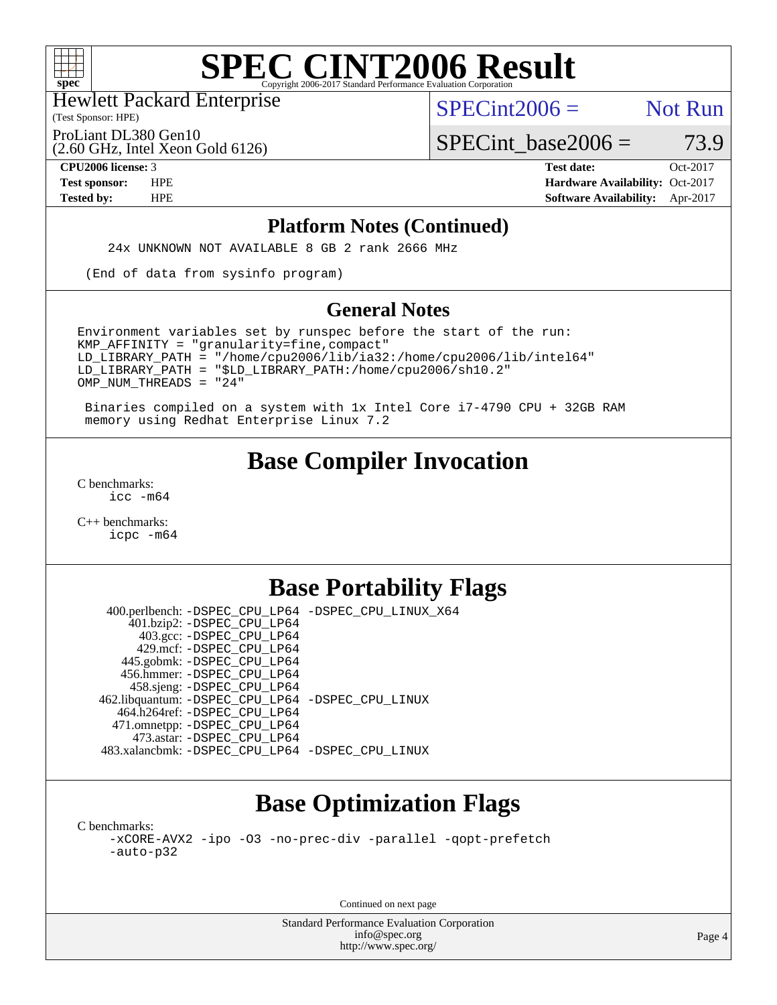

(Test Sponsor: HPE) Hewlett Packard Enterprise

 $SPECint2006 =$  Not Run

ProLiant DL380 Gen10

(2.60 GHz, Intel Xeon Gold 6126)

 $SPECTnt\_base2006 = 73.9$ **[CPU2006 license:](http://www.spec.org/auto/cpu2006/Docs/result-fields.html#CPU2006license)** 3 **[Test date:](http://www.spec.org/auto/cpu2006/Docs/result-fields.html#Testdate)** Oct-2017

**[Test sponsor:](http://www.spec.org/auto/cpu2006/Docs/result-fields.html#Testsponsor)** HPE **[Hardware Availability:](http://www.spec.org/auto/cpu2006/Docs/result-fields.html#HardwareAvailability)** Oct-2017 **[Tested by:](http://www.spec.org/auto/cpu2006/Docs/result-fields.html#Testedby)** HPE **[Software Availability:](http://www.spec.org/auto/cpu2006/Docs/result-fields.html#SoftwareAvailability)** Apr-2017

#### **[Platform Notes \(Continued\)](http://www.spec.org/auto/cpu2006/Docs/result-fields.html#PlatformNotes)**

24x UNKNOWN NOT AVAILABLE 8 GB 2 rank 2666 MHz

(End of data from sysinfo program)

### **[General Notes](http://www.spec.org/auto/cpu2006/Docs/result-fields.html#GeneralNotes)**

Environment variables set by runspec before the start of the run:  $KMP$  AFFINITY = "granularity=fine, compact" LD\_LIBRARY\_PATH = "/home/cpu2006/lib/ia32:/home/cpu2006/lib/intel64" LD\_LIBRARY\_PATH = "\$LD\_LIBRARY\_PATH:/home/cpu2006/sh10.2" OMP\_NUM\_THREADS = "24"

 Binaries compiled on a system with 1x Intel Core i7-4790 CPU + 32GB RAM memory using Redhat Enterprise Linux 7.2

### **[Base Compiler Invocation](http://www.spec.org/auto/cpu2006/Docs/result-fields.html#BaseCompilerInvocation)**

[C benchmarks](http://www.spec.org/auto/cpu2006/Docs/result-fields.html#Cbenchmarks): [icc -m64](http://www.spec.org/cpu2006/results/res2017q4/cpu2006-20171031-50458.flags.html#user_CCbase_intel_icc_64bit_bda6cc9af1fdbb0edc3795bac97ada53)

[C++ benchmarks:](http://www.spec.org/auto/cpu2006/Docs/result-fields.html#CXXbenchmarks) [icpc -m64](http://www.spec.org/cpu2006/results/res2017q4/cpu2006-20171031-50458.flags.html#user_CXXbase_intel_icpc_64bit_fc66a5337ce925472a5c54ad6a0de310)

### **[Base Portability Flags](http://www.spec.org/auto/cpu2006/Docs/result-fields.html#BasePortabilityFlags)**

 400.perlbench: [-DSPEC\\_CPU\\_LP64](http://www.spec.org/cpu2006/results/res2017q4/cpu2006-20171031-50458.flags.html#b400.perlbench_basePORTABILITY_DSPEC_CPU_LP64) [-DSPEC\\_CPU\\_LINUX\\_X64](http://www.spec.org/cpu2006/results/res2017q4/cpu2006-20171031-50458.flags.html#b400.perlbench_baseCPORTABILITY_DSPEC_CPU_LINUX_X64) 401.bzip2: [-DSPEC\\_CPU\\_LP64](http://www.spec.org/cpu2006/results/res2017q4/cpu2006-20171031-50458.flags.html#suite_basePORTABILITY401_bzip2_DSPEC_CPU_LP64) 403.gcc: [-DSPEC\\_CPU\\_LP64](http://www.spec.org/cpu2006/results/res2017q4/cpu2006-20171031-50458.flags.html#suite_basePORTABILITY403_gcc_DSPEC_CPU_LP64) 429.mcf: [-DSPEC\\_CPU\\_LP64](http://www.spec.org/cpu2006/results/res2017q4/cpu2006-20171031-50458.flags.html#suite_basePORTABILITY429_mcf_DSPEC_CPU_LP64) 445.gobmk: [-DSPEC\\_CPU\\_LP64](http://www.spec.org/cpu2006/results/res2017q4/cpu2006-20171031-50458.flags.html#suite_basePORTABILITY445_gobmk_DSPEC_CPU_LP64) 456.hmmer: [-DSPEC\\_CPU\\_LP64](http://www.spec.org/cpu2006/results/res2017q4/cpu2006-20171031-50458.flags.html#suite_basePORTABILITY456_hmmer_DSPEC_CPU_LP64) 458.sjeng: [-DSPEC\\_CPU\\_LP64](http://www.spec.org/cpu2006/results/res2017q4/cpu2006-20171031-50458.flags.html#suite_basePORTABILITY458_sjeng_DSPEC_CPU_LP64) 462.libquantum: [-DSPEC\\_CPU\\_LP64](http://www.spec.org/cpu2006/results/res2017q4/cpu2006-20171031-50458.flags.html#suite_basePORTABILITY462_libquantum_DSPEC_CPU_LP64) [-DSPEC\\_CPU\\_LINUX](http://www.spec.org/cpu2006/results/res2017q4/cpu2006-20171031-50458.flags.html#b462.libquantum_baseCPORTABILITY_DSPEC_CPU_LINUX) 464.h264ref: [-DSPEC\\_CPU\\_LP64](http://www.spec.org/cpu2006/results/res2017q4/cpu2006-20171031-50458.flags.html#suite_basePORTABILITY464_h264ref_DSPEC_CPU_LP64) 471.omnetpp: [-DSPEC\\_CPU\\_LP64](http://www.spec.org/cpu2006/results/res2017q4/cpu2006-20171031-50458.flags.html#suite_basePORTABILITY471_omnetpp_DSPEC_CPU_LP64) 473.astar: [-DSPEC\\_CPU\\_LP64](http://www.spec.org/cpu2006/results/res2017q4/cpu2006-20171031-50458.flags.html#suite_basePORTABILITY473_astar_DSPEC_CPU_LP64) 483.xalancbmk: [-DSPEC\\_CPU\\_LP64](http://www.spec.org/cpu2006/results/res2017q4/cpu2006-20171031-50458.flags.html#suite_basePORTABILITY483_xalancbmk_DSPEC_CPU_LP64) [-DSPEC\\_CPU\\_LINUX](http://www.spec.org/cpu2006/results/res2017q4/cpu2006-20171031-50458.flags.html#b483.xalancbmk_baseCXXPORTABILITY_DSPEC_CPU_LINUX)

# **[Base Optimization Flags](http://www.spec.org/auto/cpu2006/Docs/result-fields.html#BaseOptimizationFlags)**

[C benchmarks](http://www.spec.org/auto/cpu2006/Docs/result-fields.html#Cbenchmarks): [-xCORE-AVX2](http://www.spec.org/cpu2006/results/res2017q4/cpu2006-20171031-50458.flags.html#user_CCbase_f-xCORE-AVX2) [-ipo](http://www.spec.org/cpu2006/results/res2017q4/cpu2006-20171031-50458.flags.html#user_CCbase_f-ipo) [-O3](http://www.spec.org/cpu2006/results/res2017q4/cpu2006-20171031-50458.flags.html#user_CCbase_f-O3) [-no-prec-div](http://www.spec.org/cpu2006/results/res2017q4/cpu2006-20171031-50458.flags.html#user_CCbase_f-no-prec-div) [-parallel](http://www.spec.org/cpu2006/results/res2017q4/cpu2006-20171031-50458.flags.html#user_CCbase_f-parallel) [-qopt-prefetch](http://www.spec.org/cpu2006/results/res2017q4/cpu2006-20171031-50458.flags.html#user_CCbase_f-qopt-prefetch) [-auto-p32](http://www.spec.org/cpu2006/results/res2017q4/cpu2006-20171031-50458.flags.html#user_CCbase_f-auto-p32)

Continued on next page

Standard Performance Evaluation Corporation [info@spec.org](mailto:info@spec.org) <http://www.spec.org/>